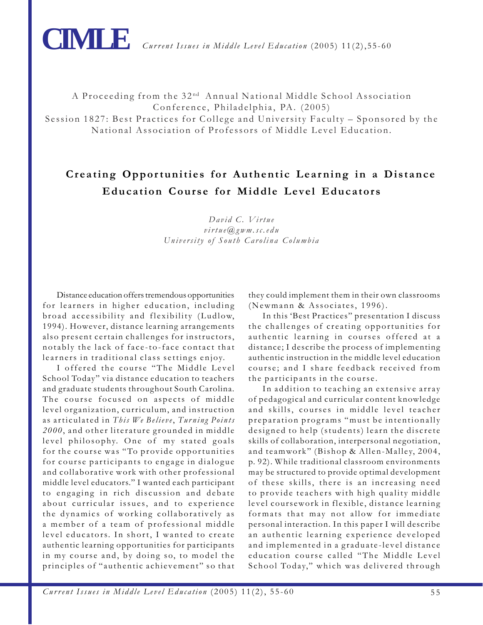

A Proceeding from the 32<sup>nd</sup> Annual National Middle School Association Conference, Philadelphia, PA. (2005) Session 1827: Best Practices for College and University Faculty – Sponsored by the National Association of Professors of Middle Level Education.

# **Creating Opportunities for Authentic Learning in a Distance Education Course for Middle Level Educators**

*David C. Virtue virtue@gwm.sc.edu University of South Carolina Columbia*

Distance education offers tremendous opportunities for learners in higher education, including broad accessibility and flexibility (Ludlow, 1994). However, distance learning arrangements also present certain challenges for instructors, notably the lack of face-to-face contact that learners in traditional class settings enjoy.

I offered the course "The Middle Level School Today" via distance education to teachers and graduate students throughout South Carolina. The course focused on aspects of middle level organization, curriculum, and instruction as articulated in *This We Believe*, *Turning Points 2000* , and other literature grounded in middle level philosophy. One of my stated goals for the course was "To provide opportunities for course participants to engage in dialogue and collaborative work with other professional middle level educators." I wanted each participant to engaging in rich discussion and debate about curricular issues, and to experience the dynamics of working collaboratively as a member of a team of professional middle level educators. In short, I wanted to create authentic learning opportunities for participants in my course and, by doing so, to model the principles of "authentic achievement" so that

they could implement them in their own classrooms (Newmann & Associates, 1996).

In this 'Best Practices" presentation I discuss the challenges of creating opportunities for authentic learning in courses offered at a distance; I describe the process of implementing authentic instruction in the middle level education course; and I share feedback received from the participants in the course.

In addition to teaching an extensive array of pedagogical and curricular content knowledge and skills, courses in middle level teacher preparation programs "must be intentionally designed to help (students) learn the discrete skills of collaboration, interpersonal negotiation, and teamwork" (Bishop & Allen-Malley, 2004, p. 92). While traditional classroom environments may be structured to provide optimal development of these skills, there is an increasing need to provide teachers with high quality middle level coursework in flexible, distance learning formats that may not allow for immediate personal interaction. In this paper I will describe an authentic learning experience developed and implemented in a graduate-level distance education course called "The Middle Level School Today," which was delivered through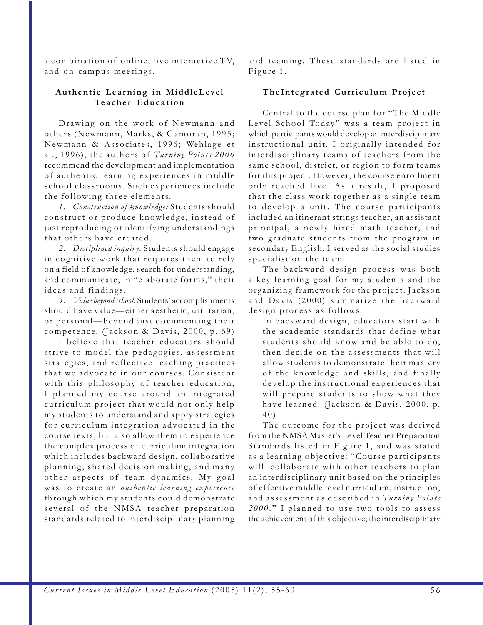a combination of online, live interactive TV, and on-campus meetings.

### **Authentic Learning in MiddleLevel Teacher Education**

Drawing on the work of Newmann and others (Newmann, Marks, & Gamoran, 1995; Newmann & Associates, 1996; Wehlage et al., 1996), the authors of *Turning Points 2000* recommend the development and implementation of authentic learning experiences in middle school classrooms. Such experiences include the following three elements.

*1. Construction of knowledge:* Students should construct or produce knowledge, instead of just reproducing or identifying understandings that others have created.

*2. Disciplined inquiry:* Students should engage in cognitive work that requires them to rely on a field of knowledge, search for understanding, and communicate, in "elaborate forms," their ideas and findings.

*3 . Value beyond school:* Students' accomplishments should have value—either aesthetic, utilitarian, or personal—beyond just documenting their competence. (Jackson & Davis, 2000, p. 69)

I believe that teacher educators should strive to model the pedagogies, assessment strategies, and reflective teaching practices that we advocate in our courses. Consistent with this philosophy of teacher education, I planned my course around an integrated curriculum project that would not only help my students to understand and apply strategies for curriculum integration advocated in the course texts, but also allow them to experience the complex process of curriculum integration which includes backward design, collaborative planning, shared decision making, and many other aspects of team dynamics. My goal was to create an *authentic learning experience* through which my students could demonstrate several of the NMSA teacher preparation standards related to interdisciplinary planning and teaming. These standards are listed in Figure 1.

## **TheIntegrated Curriculum Project**

Central to the course plan for "The Middle Level School Today" was a team project in which participants would develop an interdisciplinary instructional unit. I originally intended for interdisciplinary teams of teachers from the same school, district, or region to form teams for this project. However, the course enrollment only reached five. As a result, I proposed that the class work together as a single team to develop a unit. The course participants included an itinerant strings teacher, an assistant principal, a newly hired math teacher, and two graduate students from the program in secondary English. I served as the social studies specialist on the team.

The backward design process was both a key learning goal for my students and the organizing framework for the project. Jackson and Davis (2000) summarize the backward design process as follows.

In backward design, educators start with the academic standards that define what students should know and be able to do, then decide on the assessments that will allow students to demonstrate their mastery of the knowledge and skills, and finally develop the instructional experiences that will prepare students to show what they have learned. (Jackson & Davis, 2000, p. 40)

The outcome for the project was derived from the NMSA Master's Level Teacher Preparation Standards listed in Figure 1, and was stated as a learning objective: "Course participants will collaborate with other teachers to plan an interdisciplinary unit based on the principles of effective middle level curriculum, instruction, and assessment as described in *Turning Points 2000* ." I planned to use two tools to assess the achievement of this objective; the interdisciplinary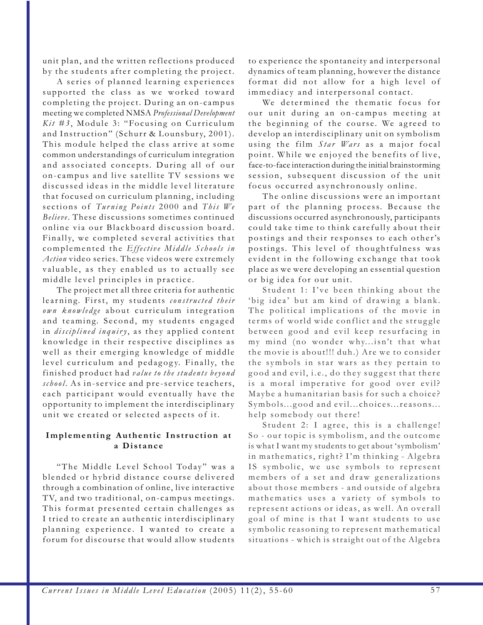unit plan, and the written reflections produced by the students after completing the project.

A series of planned learning experiences supported the class as we worked toward completing the project. During an on-campus meeting we completed NMSA *Professional Development Kit #3* , Module 3: "Focusing on Curriculum and Instruction" (Schurr & Lounsbury, 2001). This module helped the class arrive at some common understandings of curriculum integration and associated concepts. During all of our on-campus and live satellite TV sessions we discussed ideas in the middle level literature that focused on curriculum planning, including sections of *Turning Points* 2000 and *This We Believe*. These discussions sometimes continued online via our Blackboard discussion board. Finally, we completed several activities that complemented the *Effective Middle Schools in Action* video series. These videos were extremely valuable, as they enabled us to actually see middle level principles in practice.

The project met all three criteria for authentic learning. First, my students *constructed their own knowledge* about curriculum integration and teaming. Second, my students engaged in *disciplined inquiry*, as they applied content knowledge in their respective disciplines as well as their emerging knowledge of middle level curriculum and pedagogy. Finally, the finished product had *value to the students beyond school* . As in-service and pre-service teachers, each participant would eventually have the opportunity to implement the interdisciplinary unit we created or selected aspects of it.

### **Implementing Authentic Instruction at a Distance**

"The Middle Level School Today" was a blended or hybrid distance course delivered through a combination of online, live interactive TV, and two traditional, on-campus meetings. This format presented certain challenges as I tried to create an authentic interdisciplinary planning experience. I wanted to create a forum for discourse that would allow students

to experience the spontaneity and interpersonal dynamics of team planning, however the distance format did not allow for a high level of immediacy and interpersonal contact.

We determined the thematic focus for our unit during an on-campus meeting at the beginning of the course. We agreed to develop an interdisciplinary unit on symbolism using the film *Star Wars* as a major focal point. While we enjoyed the benefits of live, face-to-face interaction during the initial brainstorming session, subsequent discussion of the unit focus occurred asynchronously online.

The online discussions were an important part of the planning process. Because the discussions occurred asynchronously, participants could take time to think carefully about their postings and their responses to each other's postings. This level of thoughtfulness was evident in the following exchange that took place as we were developing an essential question or big idea for our unit.

Student 1: I've been thinking about the 'big idea' but am kind of drawing a blank. The political implications of the movie in terms of world wide conflict and the struggle between good and evil keep resurfacing in my mind (no wonder why...isn't that what the movie is about!!! duh.) Are we to consider the symbols in star wars as they pertain to good and evil, i.e., do they suggest that there is a moral imperative for good over evil? Maybe a humanitarian basis for such a choice? Symbols...good and evil...choices...reasons... help somebody out there!

Student 2: I agree, this is a challenge! So - our topic is symbolism, and the outcome is what I want my students to get about 'symbolism' in mathematics, right? I'm thinking - Algebra IS symbolic, we use symbols to represent members of a set and draw generalizations about those members - and outside of algebra mathematics uses a variety of symbols to represent actions or ideas, as well. An overall goal of mine is that I want students to use symbolic reasoning to represent mathematical situations - which is straight out of the Algebra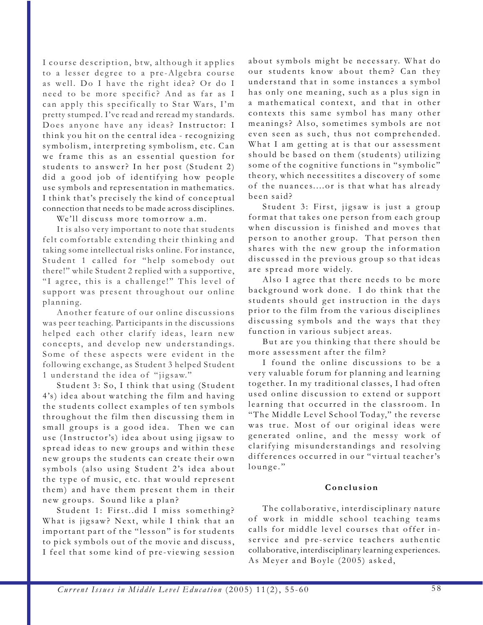I course description, btw, although it applies to a lesser degree to a pre-Algebra course as well. Do I have the right idea? Or do I need to be more specific? And as far as I can apply this specifically to Star Wars, I'm pretty stumped. I've read and reread my standards. Does anyone have any ideas? Instructor: I think you hit on the central idea - recognizing symbolism, interpreting symbolism, etc. Can we frame this as an essential question for students to answer? In her post (Student 2) did a good job of identifying how people use symbols and representation in mathematics. I think that's precisely the kind of conceptual connection that needs to be made across disciplines.

We'll discuss more tomorrow a.m.

It is also very important to note that students felt comfortable extending their thinking and taking some intellectual risks online. For instance, Student 1 called for "help somebody out there!" while Student 2 replied with a supportive, "I agree, this is a challenge!" This level of support was present throughout our online planning.

Another feature of our online discussions was peer teaching. Participants in the discussions helped each other clarify ideas, learn new concepts, and develop new understandings. Some of these aspects were evident in the following exchange, as Student 3 helped Student 1 understand the idea of "jigsaw."

Student 3: So, I think that using (Student 4's) idea about watching the film and having the students collect examples of ten symbols throughout the film then discussing them in small groups is a good idea. Then we can use (Instructor's) idea about using jigsaw to spread ideas to new groups and within these new groups the students can create their own symbols (also using Student 2's idea about the type of music, etc. that would represent them) and have them present them in their new groups. Sound like a plan?

Student 1: First..did I miss something? What is jigsaw? Next, while I think that an important part of the "lesson" is for students to pick symbols out of the movie and discuss, I feel that some kind of pre-viewing session

about symbols might be necessary. What do our students know about them? Can they understand that in some instances a symbol has only one meaning, such as a plus sign in a mathematical context, and that in other contexts this same symbol has many other meanings? Also, sometimes symbols are not even seen as such, thus not comprehended. What I am getting at is that our assessment should be based on them (students) utilizing some of the cognitive functions in "symbolic" theory, which necessitites a discovery of some of the nuances....or is that what has already been said?

Student 3: First, jigsaw is just a group format that takes one person from each group when discussion is finished and moves that person to another group. That person then shares with the new group the information discussed in the previous group so that ideas are spread more widely.

Also I agree that there needs to be more background work done. I do think that the students should get instruction in the days prior to the film from the various disciplines discussing symbols and the ways that they function in various subject areas.

But are you thinking that there should be more assessment after the film?

I found the online discussions to be a very valuable forum for planning and learning together. In my traditional classes, I had often used online discussion to extend or support learning that occurred in the classroom. In "The Middle Level School Today," the reverse was true. Most of our original ideas were generated online, and the messy work of clarifying misunderstandings and resolving differences occurred in our "virtual teacher's lounge."

#### **Conclusion**

The collaborative, interdisciplinary nature of work in middle school teaching teams calls for middle level courses that offer inservice and pre-service teachers authentic collaborative, interdisciplinary learning experiences. As Meyer and Boyle (2005) asked,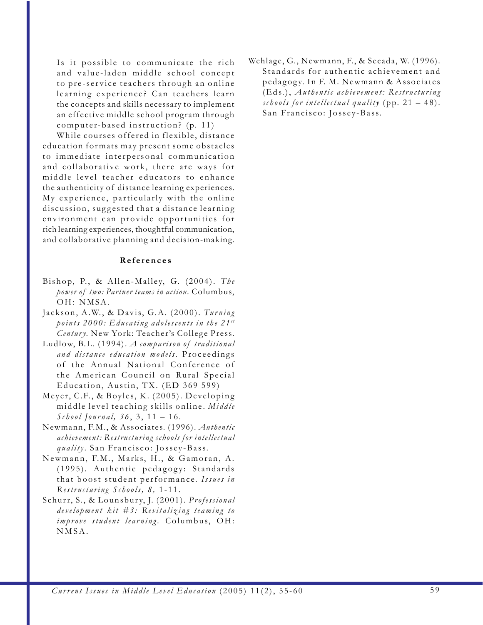Is it possible to communicate the rich and value-laden middle school concept to pre-service teachers through an online learning experience? Can teachers learn the concepts and skills necessary to implement an effective middle school program through computer-based instruction? (p. 11)

While courses offered in flexible, distance education formats may present some obstacles to immediate interpersonal communication and collaborative work, there are ways for middle level teacher educators to enhance the authenticity of distance learning experiences. My experience, particularly with the online discussion, suggested that a distance learning environment can provide opportunities for rich learning experiences, thoughtful communication, and collaborative planning and decision-making.

#### **References**

- Bishop, P., & Allen-Malley, G. (2004). The *power of two: Partner teams in action.* Columbus, OH: NMSA.
- Jackson, A.W., & Davis, G.A. (2000). Turning *points 2000: Educating adolescents in the 21 st Century.* New York: Teacher's College Press.
- Ludlow, B.L. (1994). *A comparison of traditional and distance education models*. Proceedings of the Annual National Conference of the American Council on Rural Special Education, Austin, TX. (ED 369 599)
- Meyer, C.F., & Boyles, K. (2005). Developing middle level teaching skills online. *Middle School Journal, 36* , 3, 11 – 16.
- Newmann, F.M., & Associates. (1996). *Authentic achievement: Restructuring schools for intellectual quality*. San Francisco: Jossey-Bass.
- Newmann, F.M., Marks, H., & Gamoran, A. (1995). Authentic pedagogy: Standards that boost student performance. *Issues in Restructuring Schools, 8,* 1-11.
- Schurr, S., & Lounsbur y, J. (2001). *Professional development kit #3: Revitalizing teaming to improve student learning.* Columbus, OH: NMSA.

Wehlage, G., Newmann, F., & Secada, W. (1996). Standards for authentic achievement and pedag og y. In F. M. Newmann & Associates (Eds.), *Authentic achievement: Restructuring schools for intellectual quality* (pp. 21 – 48). San Francisco: Jossey-Bass.